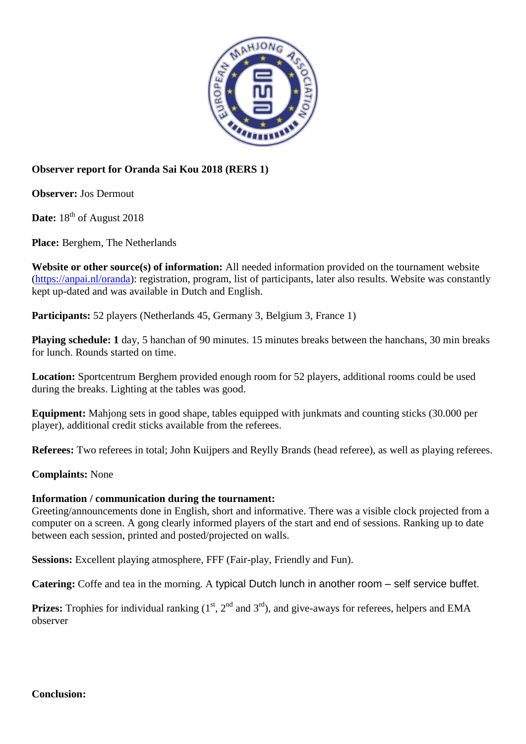

## **Observer report for Oranda Sai Kou 2018 (RERS 1)**

**Observer:** Jos Dermout

**Date:** 18<sup>th</sup> of August 2018

**Place:** Berghem, The Netherlands

**Website or other source(s) of information:** All needed information provided on the tournament website [\(https://anpai.nl/oranda\)](https://anpai.nl/oranda): registration, program, list of participants, later also results. Website was constantly kept up-dated and was available in Dutch and English.

**Participants:** 52 players (Netherlands 45, Germany 3, Belgium 3, France 1)

**Playing schedule: 1** day, 5 hanchan of 90 minutes. 15 minutes breaks between the hanchans, 30 min breaks for lunch. Rounds started on time.

**Location:** Sportcentrum Berghem provided enough room for 52 players, additional rooms could be used during the breaks. Lighting at the tables was good.

**Equipment:** Mahjong sets in good shape, tables equipped with junkmats and counting sticks (30.000 per player), additional credit sticks available from the referees.

**Referees:** Two referees in total; John Kuijpers and Reylly Brands (head referee), as well as playing referees.

**Complaints:** None

## **Information / communication during the tournament:**

Greeting/announcements done in English, short and informative. There was a visible clock projected from a computer on a screen. A gong clearly informed players of the start and end of sessions. Ranking up to date between each session, printed and posted/projected on walls.

**Sessions:** Excellent playing atmosphere, FFF (Fair-play, Friendly and Fun).

**Catering:** Coffe and tea in the morning. A typical Dutch lunch in another room – self service buffet.

**Prizes:** Trophies for individual ranking  $(1<sup>st</sup>, 2<sup>nd</sup>$  and  $3<sup>rd</sup>)$ , and give-aways for referees, helpers and EMA observer

**Conclusion:**